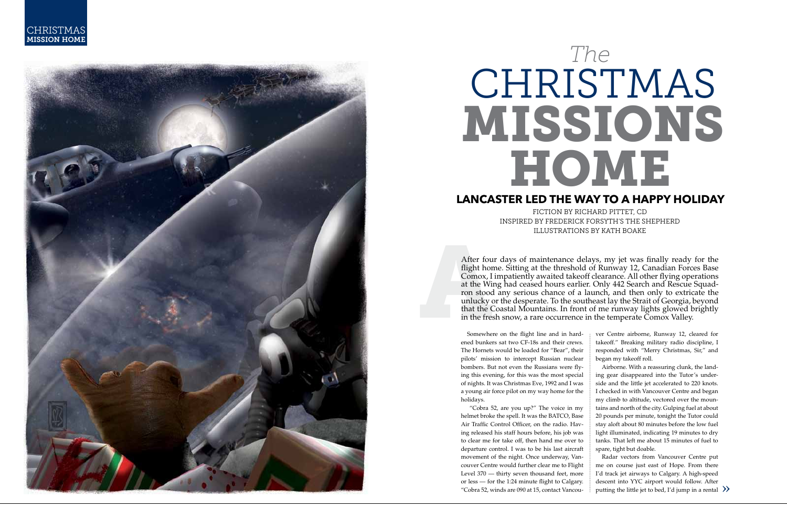

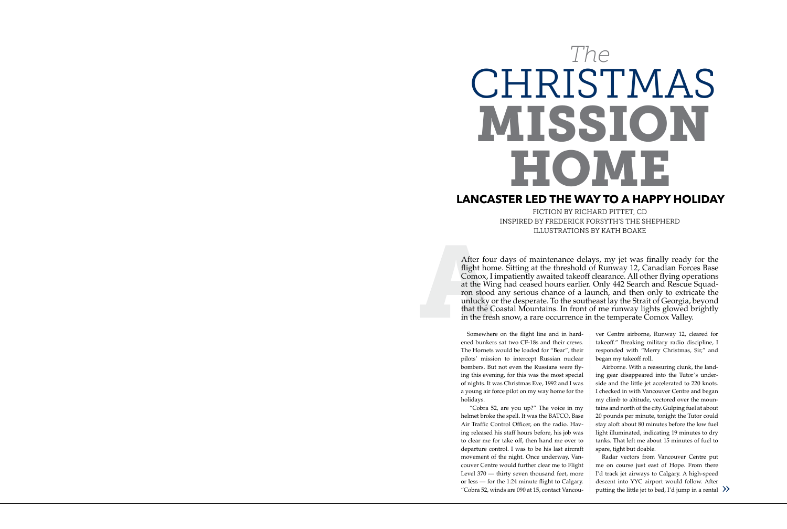# CHRISTMAS mission Home *The*

## **Lancaster Led the Way to a Happy Holiday**

FICTION BY RICHARD PITTET, CD Inspired by Frederick Forsyth's The Shepherd illustrations by kath boake

After four days of maintenance delays, my jet was finally ready for the flight home. Sitting at the threshold of Runway 12, Canadian Forces Base Comox, I impatiently awaited takeoff clearance. All other flying operations at the Wing had ceased hours earlier. Only 442 Search and Rescue Squadron stood any serious chance of a launch, and then only to extricate the unlucky or the desperate. To the southeast lay the Strait of Georgia, beyond that the Coastal Mountains. In front of me runway lights glowed brightly in the fresh snow, a rare occurrence in the temperate Comox Valley.

Somewhere on the flight line and in hardened bunkers sat two CF-18s and their crews. The Hornets would be loaded for "Bear", their pilots' mission to intercept Russian nuclear bombers. But not even the Russians were flying this evening, for this was the most special of nights. It was Christmas Eve, 1992 and I was a young air force pilot on my way home for the holidays.

 "Cobra 52, are you up?" The voice in my helmet broke the spell. It was the BATCO, Base Air Traffic Control Officer, on the radio. Having released his staff hours before, his job was to clear me for take off, then hand me over to departure control. I was to be his last aircraft movement of the night. Once underway, Vancouver Centre would further clear me to Flight Level 370 — thirty seven thousand feet, more or less — for the 1:24 minute flight to Calgary. "Cobra 52, winds are 090 at 15, contact Vancouver Centre airborne, Runway 12, cleared for takeoff." Breaking military radio discipline, I responded with "Merry Christmas, Sir," and began my takeoff roll.

Airborne. With a reassuring clunk, the landing gear disappeared into the Tutor's underside and the little jet accelerated to 220 knots. I checked in with Vancouver Centre and began my climb to altitude, vectored over the mountains and north of the city. Gulping fuel at about 20 pounds per minute, tonight the Tutor could stay aloft about 80 minutes before the low fuel light illuminated, indicating 19 minutes to dry tanks. That left me about 15 minutes of fuel to spare, tight but doable.

Radar vectors from Vancouver Centre put me on course just east of Hope. From there I'd track jet airways to Calgary. A high-speed descent into YYC airport would follow. After putting the little jet to bed, I'd jump in a rental  $\gg$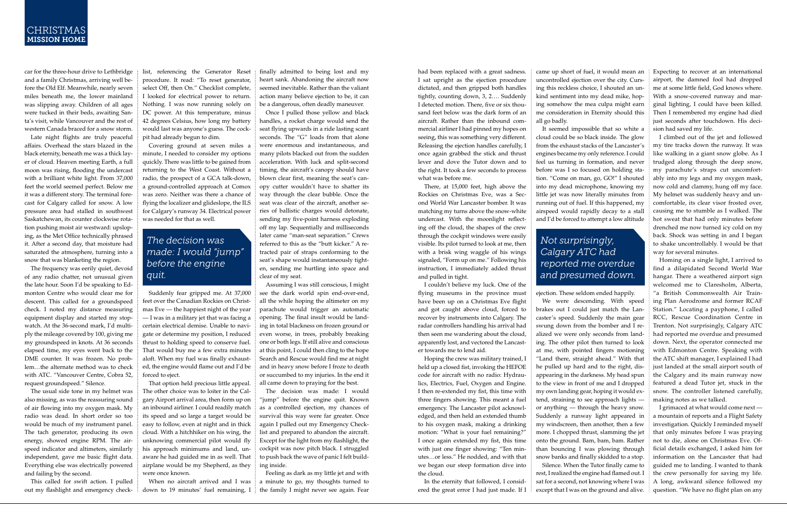#### **CHRISTMAS** mission home

car for the three-hour drive to Lethbridge and a family Christmas, arriving well before the Old Elf. Meanwhile, nearly seven miles beneath me, the lower mainland was slipping away. Children of all ages were tucked in their beds, awaiting Santa's visit, while Vancouver and the rest of western Canada braced for a snow storm.

Late night flights are truly peaceful affairs. Overhead the stars blazed in the black eternity, beneath me was a thick layer of cloud. Heaven meeting Earth, a full moon was rising, flooding the undercast with a brilliant white light. From 37,000 feet the world seemed perfect. Below me it was a different story. The terminal forecast for Calgary called for snow. A low pressure area had stalled in southwest Saskatchewan, its counter clockwise rotation pushing moist air westward: upsloping, as the Met Office technically phrased it. After a second day, that moisture had saturated the atmosphere, turning into a snow that was blanketing the region.

The frequency was eerily quiet, devoid of any radio chatter, not unusual given the late hour. Soon I'd be speaking to Edmonton Centre who would clear me for descent. This called for a groundspeed check. I noted my distance measuring equipment display and started my stopwatch. At the 36-second mark, I'd multiply the mileage covered by 100, giving me my groundspeed in knots. At 36 seconds elapsed time, my eyes went back to the DME counter. It was frozen. No problem…the alternate method was to check with ATC. "Vancouver Centre, Cobra 52, request groundspeed." Silence.

The usual side tone in my helmet was also missing, as was the reassuring sound of air flowing into my oxygen mask. My radio was dead. In short order so too would be much of my instrument panel. The tach generator, producing its own energy, showed engine RPM. The airspeed indicator and altimeters, similarly independent, gave me basic flight data. Everything else was electrically powered and failing by the second.

This called for swift action. I pulled out my flashlight and emergency check-

list, referencing the Generator Reset procedure. It read: "To reset generator, select Off, then On." Checklist complete, I looked for electrical power to return. Nothing. I was now running solely on DC power. At this temperature, minus 42 degrees Celsius, how long my battery would last was anyone's guess. The cockpit had already begun to dim.

Covering ground at seven miles a minute, I needed to consider my options quickly. There was little to be gained from returning to the West Coast. Without a radio, the prospect of a GCA talk-down, a ground-controlled approach at Comox was zero. Neither was there a chance of flying the localizer and glideslope, the ILS for Calgary's runway 34. Electrical power was needed for that as well.

## *The decision was made: I would "jump" before the engine quit.*

Suddenly fear gripped me. At 37,000 feet over the Canadian Rockies on Christmas Eve — the happiest night of the year — I was in a military jet that was facing a certain electrical demise. Unable to navigate or determine my position, I reduced thrust to holding speed to conserve fuel. That would buy me a few extra minutes aloft. When my fuel was finally exhausted, the engine would flame out and I'd be forced to eject.

That option held precious little appeal. The other choice was to loiter in the Calgary Airport arrival area, then form up on an inbound airliner. I could readily match its speed and so large a target would be easy to follow, even at night and in thick cloud. With a hitchhiker on his wing, the unknowing commercial pilot would fly his approach minimums and land, unaware he had guided me in as well. That airplane would be my Shepherd, as they were once known.

When no aircraft arrived and I was down to 19 minutes' fuel remaining, I finally admitted to being lost and my heart sank. Abandoning the aircraft now seemed inevitable. Rather than the valiant action many believe ejection to be, it can be a dangerous, often deadly maneuver.

Once I pulled those yellow and black handles, a rocket charge would send the seat flying upwards in a ride lasting scant seconds. The "G" loads from that alone were enormous and instantaneous, and many pilots blacked out from the sudden acceleration. With luck and split-second timing, the aircraft's canopy should have blown clear first, meaning the seat's canopy cutter wouldn't have to shatter its way through the clear bubble. Once the seat was clear of the aircraft, another series of ballistic charges would detonate, sending my five-point harness exploding off my lap. Sequentially and milliseconds later came "man-seat separation." Crews referred to this as the "butt kicker." A retracted pair of straps conforming to the seat's shape would instantaneously tighten, sending me hurtling into space and clear of my seat.

Assuming I was still conscious, I might see the dark world spin end-over-end, all the while hoping the altimeter on my parachute would trigger an automatic opening. The final insult would be landing in total blackness on frozen ground or even worse, in trees, probably breaking one or both legs. If still alive and conscious at this point, I could then cling to the hope Search and Rescue would find me at night and in heavy snow before I froze to death or succumbed to my injuries. In the end it all came down to praying for the best.

The decision was made: I would "jump" before the engine quit. Known as a controlled ejection, my chances of survival this way were far greater. Once again I pulled out my Emergency Checklist and prepared to abandon the aircraft. Except for the light from my flashlight, the cockpit was now pitch black. I struggled to push back the wave of panic I felt building inside.

Feeling as dark as my little jet and with a minute to go, my thoughts turned to the family I might never see again. Fear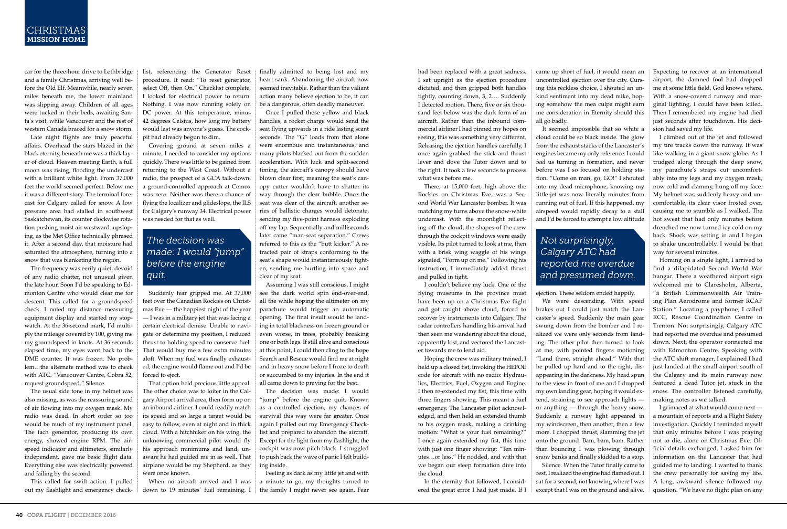had been replaced with a great sadness. I sat upright as the ejection procedure dictated, and then gripped both handles tightly, counting down, 3, 2…. Suddenly I detected motion. There, five or six thousand feet below was the dark form of an aircraft. Rather than the inbound commercial airliner I had pinned my hopes on seeing, this was something very different. Releasing the ejection handles carefully, I once again grabbed the stick and thrust lever and dove the Tutor down and to the right. It took a few seconds to process what was before me.

There, at 15,000 feet, high above the Rockies on Christmas Eve, was a Second World War Lancaster bomber. It was matching my turns above the snow-white undercast. With the moonlight reflecting off the cloud, the shapes of the crew through the cockpit windows were easily visible. Its pilot turned to look at me, then with a brisk wing waggle of his wings signaled, "Form up on me." Following his instruction, I immediately added thrust and pulled in tight.

I couldn't believe my luck. One of the flying museums in the province must have been up on a Christmas Eve flight and got caught above cloud, forced to recover by instruments into Calgary. The radar controllers handling his arrival had then seen me wandering about the cloud, apparently lost, and vectored the Lancaster towards me to lend aid.

Hoping the crew was military trained, I held up a closed fist, invoking the HEFOE code for aircraft with no radio: Hydraulics, Electrics, Fuel, Oxygen and Engine. I then re-extended my fist, this time with three fingers showing. This meant a fuel emergency. The Lancaster pilot acknowledged, and then held an extended thumb to his oxygen mask, making a drinking motion: "What is your fuel remaining?" I once again extended my fist, this time with just one finger showing: "Ten minutes…or less." He nodded, and with that we began our steep formation dive into the cloud.

In the eternity that followed, I considered the great error I had just made. If I came up short of fuel, it would mean an uncontrolled ejection over the city. Cursing this reckless choice, I shouted an unkind sentiment into my dead mike, hoping somehow the mea culpa might earn me consideration in Eternity should this all go badly.

It seemed impossible that so white a cloud could be so black inside. The glow from the exhaust stacks of the Lancaster's engines became my only reference. I could feel us turning in formation, and never before was I so focused on holding station. "Come on man, go, GO!" I shouted into my dead microphone, knowing my little jet was now literally minutes from running out of fuel. If this happened, my airspeed would rapidly decay to a stall and I'd be forced to attempt a low altitude

## *Not surprisingly, Calgary ATC had reported me overdue and presumed down.*

ejection. These seldom ended happily.

We were descending. With speed brakes out I could just match the Lancaster's speed. Suddenly the main gear swung down from the bomber and I realized we were only seconds from landing. The other pilot then turned to look at me, with pointed fingers motioning "Land there, straight ahead." With that he pulled up hard and to the right, disappearing in the darkness. My head spun to the view in front of me and I dropped my own landing gear, hoping it would extend, straining to see approach lights or anything — through the heavy snow. Suddenly a runway light appeared in my windscreen, then another, then a few more. I chopped thrust, slamming the jet onto the ground. Bam, bam, bam. Rather than bouncing I was plowing through snow banks and finally skidded to a stop.

Silence. When the Tutor finally came to rest, I realized the engine had flamed out. I sat for a second, not knowing where I was except that I was on the ground and alive. Expecting to recover at an international airport, the damned fool had dropped me at some little field, God knows where. With a snow-covered runway and marginal lighting, I could have been killed. Then I remembered my engine had died just seconds after touchdown. His decision had saved my life.

I climbed out of the jet and followed my tire tracks down the runway. It was like walking in a giant snow globe. As I trudged along through the deep snow, my parachute's straps cut uncomfortably into my legs and my oxygen mask, now cold and clammy, hung off my face. My helmet was suddenly heavy and uncomfortable, its clear visor frosted over, causing me to stumble as I walked. The hot sweat that had only minutes before drenched me now turned icy cold on my back. Shock was setting in and I began to shake uncontrollably. I would be that way for several minutes.

Homing on a single light, I arrived to find a dilapidated Second World War hangar. There a weathered airport sign welcomed me to Claresholm, Alberta, "a British Commonwealth Air Training Plan Aerodrome and former RCAF Station." Locating a payphone, I called RCC, Rescue Coordination Centre in Trenton. Not surprisingly, Calgary ATC had reported me overdue and presumed down. Next, the operator connected me with Edmonton Centre. Speaking with the ATC shift manager, I explained I had just landed at the small airport south of the Calgary and its main runway now featured a dead Tutor jet, stuck in the snow. The controller listened carefully, making notes as we talked.

I grimaced at what would come next a mountain of reports and a Flight Safety investigation. Quickly I reminded myself that only minutes before I was praying not to die, alone on Christmas Eve. Official details exchanged, I asked him for information on the Lancaster that had guided me to landing. I wanted to thank the crew personally for saving my life. A long, awkward silence followed my question. "We have no flight plan on any